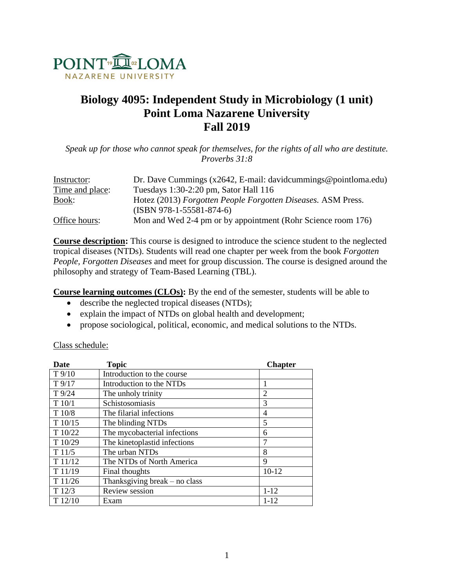

# **Biology 4095: Independent Study in Microbiology (1 unit) Point Loma Nazarene University Fall 2019**

*Speak up for those who cannot speak for themselves, for the rights of all who are destitute. Proverbs 31:8*

| Instructor:     | Dr. Dave Cummings $(x2642, E-mail: davidcummings@pointloma.edu)$ |
|-----------------|------------------------------------------------------------------|
| Time and place: | Tuesdays 1:30-2:20 pm, Sator Hall 116                            |
| Book:           | Hotez (2013) Forgotten People Forgotten Diseases. ASM Press.     |
|                 | $(ISBN 978-1-55581-874-6)$                                       |
| Office hours:   | Mon and Wed 2-4 pm or by appointment (Rohr Science room 176)     |

**Course description:** This course is designed to introduce the science student to the neglected tropical diseases (NTDs). Students will read one chapter per week from the book *Forgotten People, Forgotten Diseases* and meet for group discussion. The course is designed around the philosophy and strategy of Team-Based Learning (TBL).

**Course learning outcomes (CLOs):** By the end of the semester, students will be able to

- describe the neglected tropical diseases (NTDs);
- explain the impact of NTDs on global health and development;
- propose sociological, political, economic, and medical solutions to the NTDs.

| <b>Date</b>     | <b>Topic</b>                  | <b>Chapter</b> |
|-----------------|-------------------------------|----------------|
| $T$ 9/10        | Introduction to the course    |                |
| $T$ 9/17        | Introduction to the NTDs      |                |
| $T\frac{9}{24}$ | The unholy trinity            | 2              |
| T10/1           | Schistosomiasis               | 3              |
| T10/8           | The filarial infections       | 4              |
| T 10/15         | The blinding NTDs             | 5              |
| T 10/22         | The mycobacterial infections  | 6              |
| T10/29          | The kinetoplastid infections  | 7              |
| T11/5           | The urban NTDs                | 8              |
| T 11/12         | The NTDs of North America     | 9              |
| T11/19          | Final thoughts                | $10 - 12$      |
| T 11/26         | Thanksgiving break – no class |                |
| T12/3           | Review session                | $1 - 12$       |
| T12/10          | Exam                          | $1 - 12$       |

## Class schedule: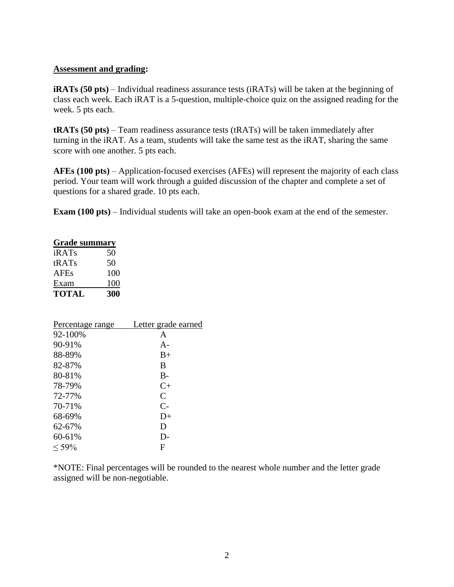#### **Assessment and grading:**

**iRATs (50 pts)** – Individual readiness assurance tests (iRATs) will be taken at the beginning of class each week. Each iRAT is a 5-question, multiple-choice quiz on the assigned reading for the week. 5 pts each.

**tRATs (50 pts)** – Team readiness assurance tests (tRATs) will be taken immediately after turning in the iRAT. As a team, students will take the same test as the iRAT, sharing the same score with one another. 5 pts each.

**AFEs (100 pts)** – Application-focused exercises (AFEs) will represent the majority of each class period. Your team will work through a guided discussion of the chapter and complete a set of questions for a shared grade. 10 pts each.

**Exam (100 pts)** – Individual students will take an open-book exam at the end of the semester.

| <b>Grade summary</b> |    |
|----------------------|----|
| iRATs                | 50 |
|                      |    |

| tRATs        | 50  |
|--------------|-----|
| <b>AFEs</b>  | 100 |
| Exam         | 100 |
| <b>TOTAL</b> | 300 |

| Letter grade earned |
|---------------------|
| A                   |
| $A -$               |
| $B+$                |
| B                   |
| $B -$               |
| $C+$                |
| $\mathcal{C}$       |
| $C-$                |
| $D+$                |
| D                   |
| D-                  |
| F                   |
|                     |

\*NOTE: Final percentages will be rounded to the nearest whole number and the letter grade assigned will be non-negotiable.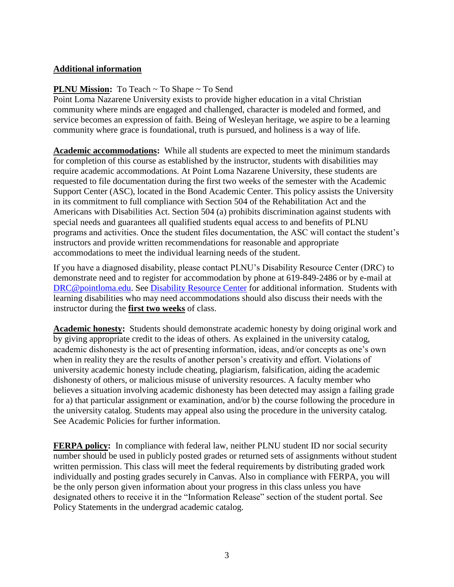# **Additional information**

## **PLNU Mission:** To Teach ~ To Shape ~ To Send

Point Loma Nazarene University exists to provide higher education in a vital Christian community where minds are engaged and challenged, character is modeled and formed, and service becomes an expression of faith. Being of Wesleyan heritage, we aspire to be a learning community where grace is foundational, truth is pursued, and holiness is a way of life.

**Academic accommodations:** While all students are expected to meet the minimum standards for completion of this course as established by the instructor, students with disabilities may require academic accommodations. At Point Loma Nazarene University, these students are requested to file documentation during the first two weeks of the semester with the Academic Support Center (ASC), located in the Bond Academic Center. This policy assists the University in its commitment to full compliance with Section 504 of the Rehabilitation Act and the Americans with Disabilities Act. Section 504 (a) prohibits discrimination against students with special needs and guarantees all qualified students equal access to and benefits of PLNU programs and activities. Once the student files documentation, the ASC will contact the student's instructors and provide written recommendations for reasonable and appropriate accommodations to meet the individual learning needs of the student.

If you have a diagnosed disability, please contact PLNU's Disability Resource Center (DRC) to demonstrate need and to register for accommodation by phone at 619-849-2486 or by e-mail at [DRC@pointloma.edu.](mailto:DRC@pointloma.edu) See [Disability Resource Center](http://www.pointloma.edu/experience/offices/administrative-offices/academic-advising-office/disability-resource-center) for additional information. Students with learning disabilities who may need accommodations should also discuss their needs with the instructor during the **first two weeks** of class.

**Academic honesty:** Students should demonstrate academic honesty by doing original work and by giving appropriate credit to the ideas of others. As explained in the university catalog, academic dishonesty is the act of presenting information, ideas, and/or concepts as one's own when in reality they are the results of another person's creativity and effort. Violations of university academic honesty include cheating, plagiarism, falsification, aiding the academic dishonesty of others, or malicious misuse of university resources. A faculty member who believes a situation involving academic dishonesty has been detected may assign a failing grade for a) that particular assignment or examination, and/or b) the course following the procedure in the university catalog. Students may appeal also using the procedure in the university catalog. See Academic Policies for further information.

**FERPA policy:** In compliance with federal law, neither PLNU student ID nor social security number should be used in publicly posted grades or returned sets of assignments without student written permission. This class will meet the federal requirements by distributing graded work individually and posting grades securely in Canvas. Also in compliance with FERPA, you will be the only person given information about your progress in this class unless you have designated others to receive it in the "Information Release" section of the student portal. See Policy Statements in the undergrad academic catalog.